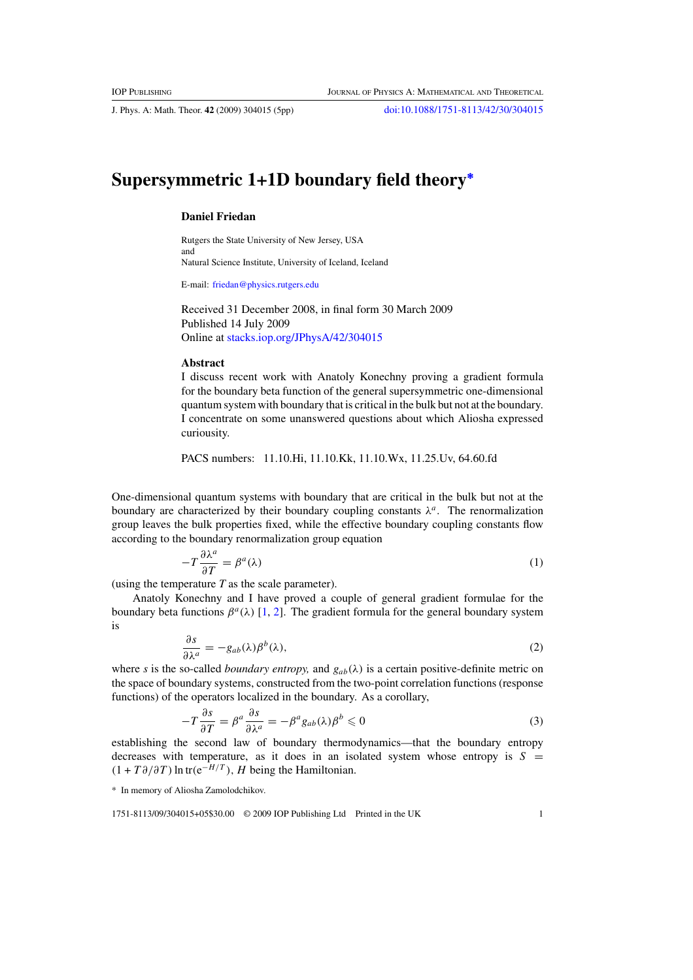J. Phys. A: Math. Theor. **42** (2009) 304015 (5pp) [doi:10.1088/1751-8113/42/30/304015](http://dx.doi.org/10.1088/1751-8113/42/30/304015)

## **Supersymmetric 1+1D boundary field theory<sup>∗</sup>**

## **Daniel Friedan**

Rutgers the State University of New Jersey, USA and Natural Science Institute, University of Iceland, Iceland

E-mail: [friedan@physics.rutgers.edu](mailto:friedan@physics.rutgers.edu)

Received 31 December 2008, in final form 30 March 2009 Published 14 July 2009 Online at [stacks.iop.org/JPhysA/42/304015](http://stacks.iop.org/JPhysA/42/304015)

## **Abstract**

I discuss recent work with Anatoly Konechny proving a gradient formula for the boundary beta function of the general supersymmetric one-dimensional quantum system with boundary that is critical in the bulk but not at the boundary. I concentrate on some unanswered questions about which Aliosha expressed curiousity.

PACS numbers: 11.10.Hi, 11.10.Kk, 11.10.Wx, 11.25.Uv, 64.60.fd

One-dimensional quantum systems with boundary that are critical in the bulk but not at the boundary are characterized by their boundary coupling constants  $\lambda^a$ . The renormalization group leaves the bulk properties fixed, while the effective boundary coupling constants flow according to the boundary renormalization group equation

$$
-T\frac{\partial \lambda^a}{\partial T} = \beta^a(\lambda) \tag{1}
$$

(using the temperature *T* as the scale parameter).

Anatoly Konechny and I have proved a couple of general gradient formulae for the boundary beta functions  $\beta^a(\lambda)$  [\[1,](#page-4-0) [2\]](#page-4-0). The gradient formula for the general boundary system is

$$
\frac{\partial s}{\partial \lambda^a} = -g_{ab}(\lambda)\beta^b(\lambda),\tag{2}
$$

where *s* is the so-called *boundary entropy*, and  $g_{ab}(\lambda)$  is a certain positive-definite metric on the space of boundary systems, constructed from the two-point correlation functions (response functions) of the operators localized in the boundary. As a corollary,

$$
-T\frac{\partial s}{\partial T} = \beta^a \frac{\partial s}{\partial \lambda^a} = -\beta^a g_{ab}(\lambda)\beta^b \leq 0
$$
\n(3)

establishing the second law of boundary thermodynamics—that the boundary entropy decreases with temperature, as it does in an isolated system whose entropy is  $S =$  $(1 + T \partial / \partial T) \ln \text{tr}(e^{-H/T})$ , *H* being the Hamiltonian.

\* In memory of Aliosha Zamolodchikov.

1751-8113/09/304015+05\$30.00 © 2009 IOP Publishing Ltd Printed in the UK 1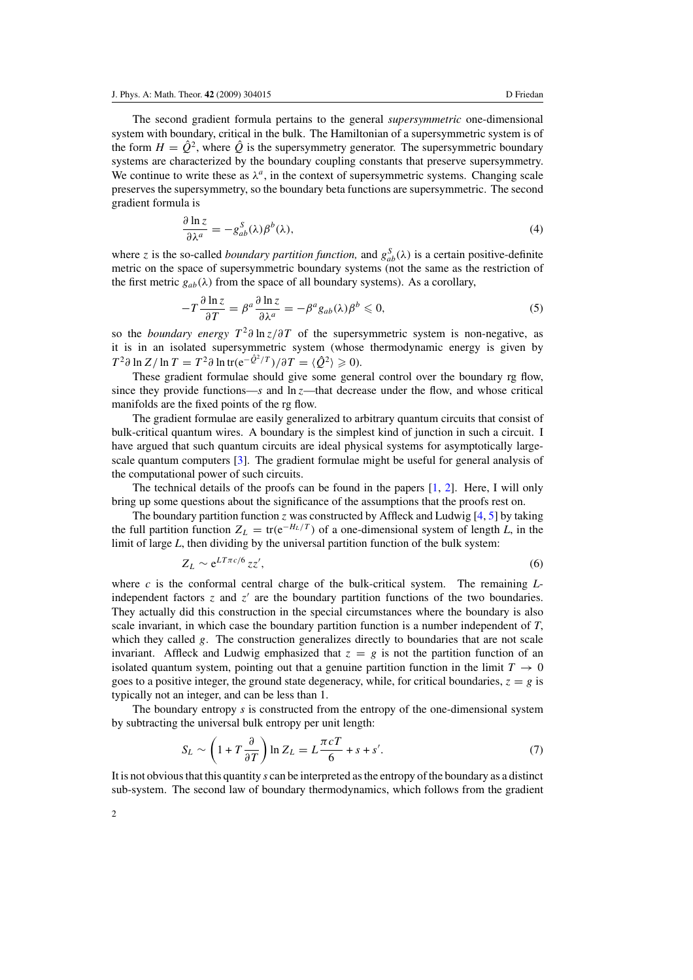The second gradient formula pertains to the general *supersymmetric* one-dimensional system with boundary, critical in the bulk. The Hamiltonian of a supersymmetric system is of the form  $H = \hat{Q}^2$ , where  $\hat{Q}$  is the supersymmetry generator. The supersymmetric boundary systems are characterized by the boundary coupling constants that preserve supersymmetry. We continue to write these as  $\lambda^a$ , in the context of supersymmetric systems. Changing scale preserves the supersymmetry, so the boundary beta functions are supersymmetric. The second gradient formula is

$$
\frac{\partial \ln z}{\partial \lambda^a} = -g_{ab}^S(\lambda)\beta^b(\lambda),\tag{4}
$$

where *z* is the so-called *boundary partition function*, and  $g_{ab}^S(\lambda)$  is a certain positive-definite metric on the space of supersymmetric boundary systems (not the same as the restriction of the first metric  $g_{ab}(\lambda)$  from the space of all boundary systems). As a corollary,

$$
-T\frac{\partial \ln z}{\partial T} = \beta^a \frac{\partial \ln z}{\partial \lambda^a} = -\beta^a g_{ab}(\lambda)\beta^b \leq 0,
$$
\n<sup>(5)</sup>

so the *boundary energy*  $T^2\partial \ln z/\partial T$  of the supersymmetric system is non-negative, as it is in an isolated supersymmetric system (whose thermodynamic energy is given by  $T^2 \partial \ln Z / \ln T = T^2 \partial \ln \text{tr} (e^{-\hat{Q}^2/T}) / \partial T = \langle \hat{Q}^2 \rangle \geqslant 0$ .

These gradient formulae should give some general control over the boundary rg flow, since they provide functions— $s$  and  $\ln z$ —that decrease under the flow, and whose critical manifolds are the fixed points of the rg flow.

The gradient formulae are easily generalized to arbitrary quantum circuits that consist of bulk-critical quantum wires. A boundary is the simplest kind of junction in such a circuit. I have argued that such quantum circuits are ideal physical systems for asymptotically largescale quantum computers [\[3\]](#page-4-0). The gradient formulae might be useful for general analysis of the computational power of such circuits.

The technical details of the proofs can be found in the papers  $[1, 2]$  $[1, 2]$  $[1, 2]$ . Here, I will only bring up some questions about the significance of the assumptions that the proofs rest on.

The boundary partition function *z* was constructed by Affleck and Ludwig [\[4,](#page-4-0) [5](#page-4-0)] by taking the full partition function  $Z_L = \text{tr}(e^{-H_L/T})$  of a one-dimensional system of length *L*, in the limit of large *L*, then dividing by the universal partition function of the bulk system:

$$
Z_L \sim e^{LT\pi c/6} z z',\tag{6}
$$

where *c* is the conformal central charge of the bulk-critical system. The remaining *L*independent factors  $\zeta$  and  $\zeta'$  are the boundary partition functions of the two boundaries. They actually did this construction in the special circumstances where the boundary is also scale invariant, in which case the boundary partition function is a number independent of *T*, which they called *g*. The construction generalizes directly to boundaries that are not scale invariant. Affleck and Ludwig emphasized that  $z = g$  is not the partition function of an isolated quantum system, pointing out that a genuine partition function in the limit  $T \to 0$ goes to a positive integer, the ground state degeneracy, while, for critical boundaries,  $z = g$  is typically not an integer, and can be less than 1.

The boundary entropy *s* is constructed from the entropy of the one-dimensional system by subtracting the universal bulk entropy per unit length:

$$
S_L \sim \left(1 + T \frac{\partial}{\partial T}\right) \ln Z_L = L \frac{\pi c T}{6} + s + s'.
$$
 (7)

It is not obvious that this quantity *s* can be interpreted as the entropy of the boundary as a distinct sub-system. The second law of boundary thermodynamics, which follows from the gradient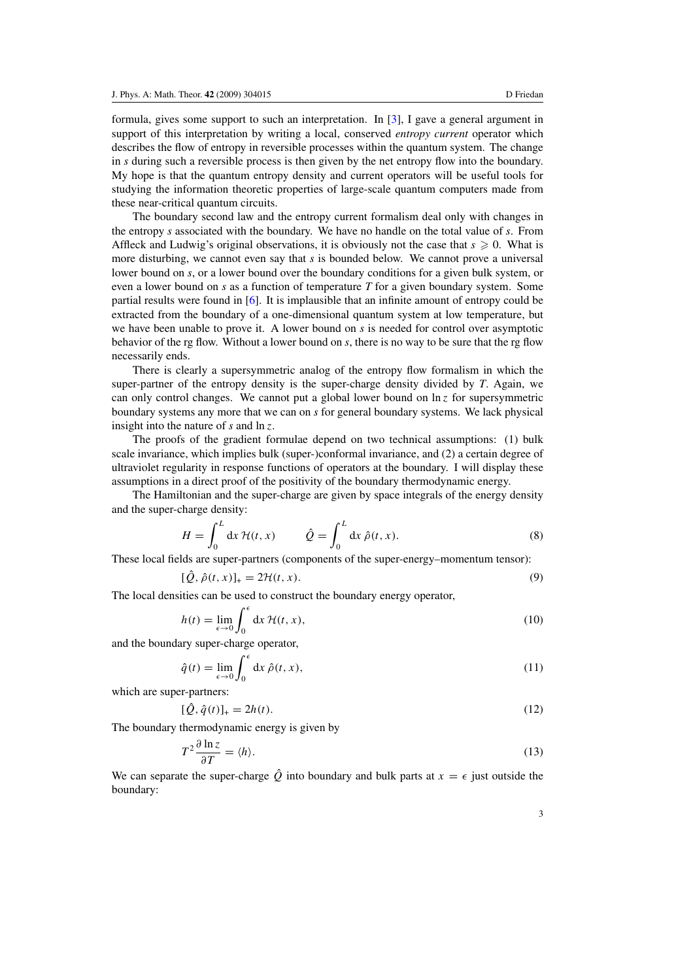formula, gives some support to such an interpretation. In [\[3\]](#page-4-0), I gave a general argument in support of this interpretation by writing a local, conserved *entropy current* operator which describes the flow of entropy in reversible processes within the quantum system. The change in *s* during such a reversible process is then given by the net entropy flow into the boundary. My hope is that the quantum entropy density and current operators will be useful tools for studying the information theoretic properties of large-scale quantum computers made from these near-critical quantum circuits.

The boundary second law and the entropy current formalism deal only with changes in the entropy *s* associated with the boundary. We have no handle on the total value of *s*. From Affleck and Ludwig's original observations, it is obviously not the case that  $s \geq 0$ . What is more disturbing, we cannot even say that *s* is bounded below. We cannot prove a universal lower bound on *s*, or a lower bound over the boundary conditions for a given bulk system, or even a lower bound on *s* as a function of temperature *T* for a given boundary system. Some partial results were found in [\[6](#page-4-0)]. It is implausible that an infinite amount of entropy could be extracted from the boundary of a one-dimensional quantum system at low temperature, but we have been unable to prove it. A lower bound on *s* is needed for control over asymptotic behavior of the rg flow. Without a lower bound on *s*, there is no way to be sure that the rg flow necessarily ends.

There is clearly a supersymmetric analog of the entropy flow formalism in which the super-partner of the entropy density is the super-charge density divided by *T*. Again, we can only control changes. We cannot put a global lower bound on  $\ln z$  for supersymmetric boundary systems any more that we can on *s* for general boundary systems. We lack physical insight into the nature of *s* and ln *z*.

The proofs of the gradient formulae depend on two technical assumptions: (1) bulk scale invariance, which implies bulk (super-)conformal invariance, and (2) a certain degree of ultraviolet regularity in response functions of operators at the boundary. I will display these assumptions in a direct proof of the positivity of the boundary thermodynamic energy.

The Hamiltonian and the super-charge are given by space integrals of the energy density and the super-charge density:

$$
H = \int_0^L dx \, \mathcal{H}(t, x) \qquad \hat{Q} = \int_0^L dx \, \hat{\rho}(t, x). \tag{8}
$$

These local fields are super-partners (components of the super-energy–momentum tensor):

$$
[\hat{Q}, \hat{\rho}(t, x)]_{+} = 2\mathcal{H}(t, x). \tag{9}
$$

The local densities can be used to construct the boundary energy operator,

$$
h(t) = \lim_{\epsilon \to 0} \int_0^{\epsilon} dx \, \mathcal{H}(t, x), \tag{10}
$$

and the boundary super-charge operator,

$$
\hat{q}(t) = \lim_{\epsilon \to 0} \int_0^{\epsilon} dx \,\hat{\rho}(t, x),\tag{11}
$$

which are super-partners:

$$
[\hat{Q}, \hat{q}(t)]_{+} = 2h(t). \tag{12}
$$

The boundary thermodynamic energy is given by

$$
T^2 \frac{\partial \ln z}{\partial T} = \langle h \rangle. \tag{13}
$$

We can separate the super-charge  $\hat{Q}$  into boundary and bulk parts at  $x = \epsilon$  just outside the boundary: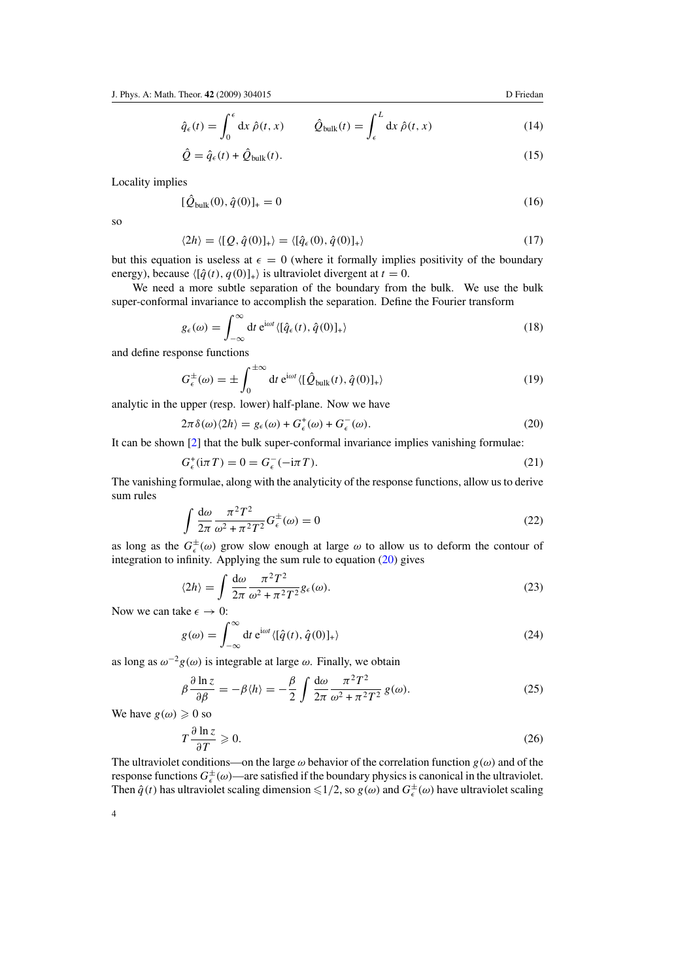$$
\hat{q}_{\epsilon}(t) = \int_0^{\epsilon} dx \,\hat{\rho}(t,x) \qquad \hat{Q}_{\text{bulk}}(t) = \int_{\epsilon}^L dx \,\hat{\rho}(t,x) \tag{14}
$$

$$
\hat{Q} = \hat{q}_{\epsilon}(t) + \hat{Q}_{\text{bulk}}(t). \tag{15}
$$

<span id="page-3-0"></span>Locality implies

$$
[\hat{Q}_{bulk}(0), \hat{q}(0)]_{+} = 0 \tag{16}
$$

so

$$
\langle 2h \rangle = \langle [Q, \hat{q}(0)]_+ \rangle = \langle [\hat{q}_\epsilon(0), \hat{q}(0)]_+ \rangle \tag{17}
$$

but this equation is useless at  $\epsilon = 0$  (where it formally implies positivity of the boundary energy), because  $\langle [\hat{q}(t), q(0)]_+ \rangle$  is ultraviolet divergent at  $t = 0$ .

We need a more subtle separation of the boundary from the bulk. We use the bulk super-conformal invariance to accomplish the separation. Define the Fourier transform

$$
g_{\epsilon}(\omega) = \int_{-\infty}^{\infty} dt \, e^{i\omega t} \langle [\hat{q}_{\epsilon}(t), \hat{q}(0)]_{+} \rangle \tag{18}
$$

and define response functions

$$
G_{\epsilon}^{\pm}(\omega) = \pm \int_0^{\pm \infty} dt \, e^{i\omega t} \langle [\hat{Q}_{\text{bulk}}(t), \hat{q}(0)]_+ \rangle \tag{19}
$$

analytic in the upper (resp. lower) half-plane. Now we have

$$
2\pi \delta(\omega)\langle 2h \rangle = g_{\epsilon}(\omega) + G_{\epsilon}^{+}(\omega) + G_{\epsilon}^{-}(\omega). \tag{20}
$$

It can be shown [\[2](#page-4-0)] that the bulk super-conformal invariance implies vanishing formulae:

$$
G_{\epsilon}^{+}(\mathrm{i}\pi T) = 0 = G_{\epsilon}^{-}(-\mathrm{i}\pi T). \tag{21}
$$

The vanishing formulae, along with the analyticity of the response functions, allow us to derive sum rules

$$
\int \frac{d\omega}{2\pi} \frac{\pi^2 T^2}{\omega^2 + \pi^2 T^2} G_{\epsilon}^{\pm}(\omega) = 0
$$
\n(22)

as long as the  $G_{\epsilon}^{\pm}(\omega)$  grow slow enough at large  $\omega$  to allow us to deform the contour of integration to infinity. Applying the sum rule to equation  $(20)$  gives

$$
\langle 2h \rangle = \int \frac{\mathrm{d}\omega}{2\pi} \frac{\pi^2 T^2}{\omega^2 + \pi^2 T^2} g_{\epsilon}(\omega). \tag{23}
$$

Now we can take  $\epsilon \to 0$ :

$$
g(\omega) = \int_{-\infty}^{\infty} dt \, e^{i\omega t} \langle [\hat{q}(t), \hat{q}(0)]_{+} \rangle \tag{24}
$$

as long as  $\omega^{-2}g(\omega)$  is integrable at large  $\omega$ . Finally, we obtain

$$
\beta \frac{\partial \ln z}{\partial \beta} = -\beta \langle h \rangle = -\frac{\beta}{2} \int \frac{d\omega}{2\pi} \frac{\pi^2 T^2}{\omega^2 + \pi^2 T^2} g(\omega). \tag{25}
$$

We have  $g(\omega) \geq 0$  so

$$
T\frac{\partial \ln z}{\partial T} \geqslant 0. \tag{26}
$$

The ultraviolet conditions—on the large  $\omega$  behavior of the correlation function  $g(\omega)$  and of the response functions  $G_{\epsilon}^{\pm}(\omega)$ —are satisfied if the boundary physics is canonical in the ultraviolet. Then  $\hat{q}(t)$  has ultraviolet scaling dimension  $\leq 1/2$ , so  $g(\omega)$  and  $G_{\epsilon}^{\pm}(\omega)$  have ultraviolet scaling